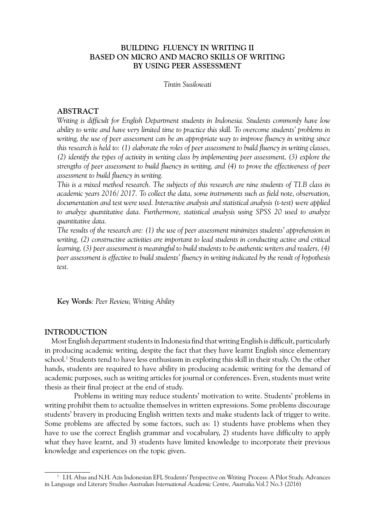### **BUILDING FLUENCY IN WRITING II BASED ON MICRO AND MACRO SKILLS OF WRITING BY USING PEER ASSESSMENT**

*Tintin Susilowati*

### **ABSTRACT**

*Writing is difficult for English Department students in Indonesia. Students commonly have low ability to write and have very limited time to practice this skill. To overcome students' problems in*  writing, the use of peer assessment can be an appropriate way to improve fluency in writing since *this research is held to: (1) elaborate the roles of peer assessment to build fluency in writing classes, (2) identify the types of activity in writing class by implementing peer assessment, (3) explore the strengths of peer assessment to build fluency in writing, and (4) to prove the effectiveness of peer assessment to build fluency in writing.* 

*This is a mixed method research. The subjects of this research are nine students of TI.B class in academic years 2016/ 2017. To collect the data, some instruments such as field note, observation, documentation and test were used. Interactive analysis and statistical analysis (t-test) were applied to analyze quantitative data. Furthermore, statistical analysis using SPSS 20 used to analyze quantitative data.*

*The results of the research are: (1) the use of peer assessment minimizes students' apprehension in writing, (2) constructive activities are important to lead students in conducting active and critical learning, (3) peer assessment is meaningful to build students to be authentic writers and readers, (4) peer assessment is effective to build students' fluency in writing indicated by the result of hypothesis test.* 

**Key Words***: Peer Review, Writing Ability*

### **INTRODUCTION**

 Most English department students in Indonesia find that writing English is difficult, particularly in producing academic writing, despite the fact that they have learnt English since elementary school.<sup>1</sup> Students tend to have less enthusiasm in exploring this skill in their study. On the other hands, students are required to have ability in producing academic writing for the demand of academic purposes, such as writing articles for journal or conferences. Even, students must write thesis as their final project at the end of study.

 Problems in writing may reduce students' motivation to write. Students' problems in writing prohibit them to actualize themselves in written expressions. Some problems discourage students' bravery in producing English written texts and make students lack of trigger to write. Some problems are affected by some factors, such as: 1) students have problems when they have to use the correct English grammar and vocabulary, 2) students have difficulty to apply what they have learnt, and 3) students have limited knowledge to incorporate their previous knowledge and experiences on the topic given.

<sup>1</sup> I.H. Abas and N.H. Azis Indonesian EFL Students' Perspective on Writing Process: A Pilot Study. Advances in Language and Literary Studies *Australian International Academic Centre, Australia.*Vol.7 No.3 (2016)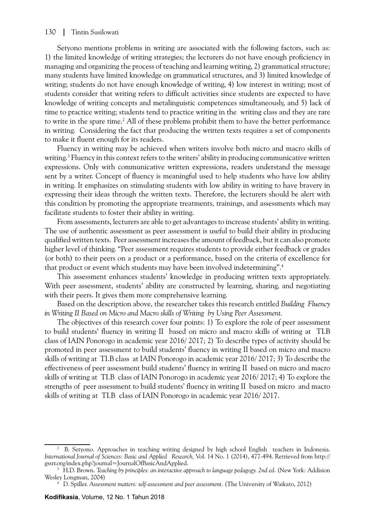### 130 | Tintin Susilowati

Setyono mentions problems in writing are associated with the following factors, such as: 1) the limited knowledge of writing strategies; the lecturers do not have enough proficiency in managing and organizing the process of teaching and learning writing, 2) grammatical structure; many students have limited knowledge on grammatical structures, and 3) limited knowledge of writing; students do not have enough knowledge of writing, 4) low interest in writing; most of students consider that writing refers to difficult activities since students are expected to have knowledge of writing concepts and metalinguistic competences simultaneously, and 5) lack of time to practice writing; students tend to practice writing in the writing class and they are rare to write in the spare time.<sup>2</sup> All of these problems prohibit them to have the better performance in writing. Considering the fact that producing the written texts requires a set of components to make it fluent enough for its readers.

Fluency in writing may be achieved when writers involve both micro and macro skills of writing.<sup>3</sup> Fluency in this context refers to the writers' ability in producing communicative written expressions. Only with communicative written expressions, readers understand the message sent by a writer. Concept of fluency is meaningful used to help students who have low ability in writing. It emphasizes on stimulating students with low ability in writing to have bravery in expressing their ideas through the written texts. Therefore, the lecturers should be alert with this condition by promoting the appropriate treatments, trainings, and assessments which may facilitate students to foster their ability in writing.

From assessments, lecturers are able to get advantages to increase students' ability in writing. The use of authentic assessment as peer assessment is useful to build their ability in producing qualified written texts. Peer assessment increases the amount of feedback, but it can also promote higher level of thinking. "Peer assessment requires students to provide either feedback or grades (or both) to their peers on a product or a performance, based on the criteria of excellence for that product or event which students may have been involved indetermining".4

This assessment enhances students' knowledge in producing written texts appropriately. With peer assessment, students' ability are constructed by learning, sharing, and negotiating with their peers. It gives them more comprehensive learning.

Based on the description above, the researcher takes this research entitled *Building Fluency in Writing II Based on Micro and Macro skills of Writing by Using Peer Assessment.*

The objectives of this research cover four points: 1) To explore the role of peer assessment to build students' fluency in writing II based on micro and macro skills of writing at TI.B class of IAIN Ponorogo in academic year 2016/ 2017; 2) To describe types of activity should be promoted in peer assessment to build students' fluency in writing II based on micro and macro skills of writing at TI.B class at IAIN Ponorogo in academic year 2016/ 2017; 3) To describe the effectiveness of peer assessment build students' fluency in writing II based on micro and macro skills of writing at TI.B class of IAIN Ponorogo in academic year 2016/ 2017; 4) To explore the strengths of peer assessment to build students' fluency in writing II based on micro and macro skills of writing at TI.B class of IAIN Ponorogo in academic year 2016/ 2017.

<sup>2</sup> B. Setyono. Approaches in teaching writing designed by high school English teachers in Indonesia. *International Journal of Sciences: Basic and Applied Research,* Vol. 14 No. 1 (2014), 477-494. Retrieved from http:// gssrr.org/index.php?journal=JournalOfBasicAndApplied. 3 H.D. Brown. *Teaching by principles: an interactive approach to language pedagogy. 2nd ed*. (New York: Addision

Wesley Longman, 2004)

<sup>4</sup> D. Spiller. *Assessment matters: self-assessment and peer assessment.* (The University of Waikato, 2012)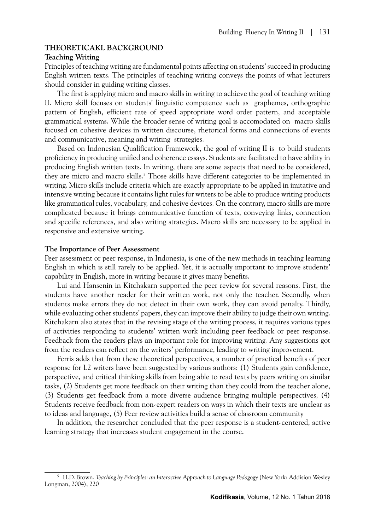### **THEORETICAKL BACKGROUND**

### **Teaching Writing**

Principles of teaching writing are fundamental points affecting on students' succeed in producing English written texts. The principles of teaching writing conveys the points of what lecturers should consider in guiding writing classes.

The first is applying micro and macro skills in writing to achieve the goal of teaching writing II. Micro skill focuses on students' linguistic competence such as graphemes, orthographic pattern of English, efficient rate of speed appropriate word order pattern, and acceptable grammatical systems. While the broader sense of writing goal is accomodated on macro skills focused on cohesive devices in written discourse, rhetorical forms and connections of events and communicative, meaning and writing strategies.

Based on Indonesian Qualification Framework, the goal of writing II is to build students proficiency in producing unified and coherence essays. Students are facilitated to have ability in producing English written texts. In writing, there are some aspects that need to be considered, they are micro and macro skills.<sup>5</sup> Those skills have different categories to be implemented in writing. Micro skills include criteria which are exactly appropriate to be applied in imitative and intensive writing because it contains light rules for writers to be able to produce writing products like grammatical rules, vocabulary, and cohesive devices. On the contrary, macro skills are more complicated because it brings communicative function of texts, conveying links, connection and specific references, and also writing strategies. Macro skills are necessary to be applied in responsive and extensive writing.

### **The Importance of Peer Assessment**

Peer assessment or peer response, in Indonesia, is one of the new methods in teaching learning English in which is still rarely to be applied. Yet, it is actually important to improve students' capability in English, more in writing because it gives many benefits.

Lui and Hansenin in Kitchakarn supported the peer review for several reasons. First, the students have another reader for their written work, not only the teacher. Secondly, when students make errors they do not detect in their own work, they can avoid penalty. Thirdly, while evaluating other students' papers, they can improve their ability to judge their own writing. Kitchakarn also states that in the revising stage of the writing process, it requires various types of activities responding to students' written work including peer feedback or peer response. Feedback from the readers plays an important role for improving writing. Any suggestions got from the readers can reflect on the writers' performance, leading to writing improvement.

Ferris adds that from these theoretical perspectives, a number of practical benefits of peer response for L2 writers have been suggested by various authors: (1) Students gain confidence, perspective, and critical thinking skills from being able to read texts by peers writing on similar tasks, (2) Students get more feedback on their writing than they could from the teacher alone, (3) Students get feedback from a more diverse audience bringing multiple perspectives, (4) Students receive feedback from non-expert readers on ways in which their texts are unclear as to ideas and language, (5) Peer review activities build a sense of classroom community

In addition, the researcher concluded that the peer response is a student-centered, active learning strategy that increases student engagement in the course.

<sup>5</sup> H.D. Brown. *Teaching by Principles: an Interactive Approach to Language Pedagogy* (New York: Addision Wesley Longman, 2004), 220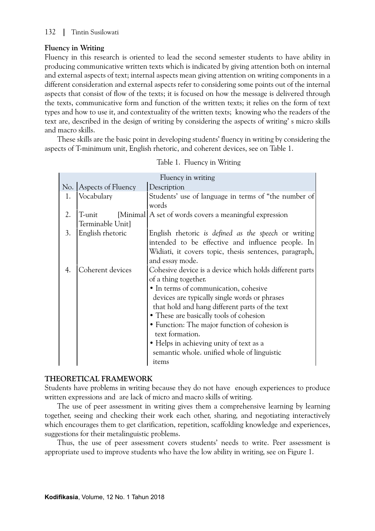# **Fluency in Writing**

Fluency in this research is oriented to lead the second semester students to have ability in producing communicative written texts which is indicated by giving attention both on internal and external aspects of text; internal aspects mean giving attention on writing components in a different consideration and external aspects refer to considering some points out of the internal aspects that consist of flow of the texts; it is focused on how the message is delivered through the texts, communicative form and function of the written texts; it relies on the form of text types and how to use it, and contextuality of the written texts; knowing who the readers of the text are, described in the design of writing by considering the aspects of writing' s micro skills and macro skills.

These skills are the basic point in developing students' fluency in writing by considering the aspects of T-minimum unit, English rhetoric, and coherent devices, see on Table 1.

|    |                        | Fluency in writing                                      |  |  |  |  |
|----|------------------------|---------------------------------------------------------|--|--|--|--|
|    | No. Aspects of Fluency | Description                                             |  |  |  |  |
| 1. | Vocabulary             | Students' use of language in terms of "the number of    |  |  |  |  |
|    |                        | words                                                   |  |  |  |  |
| 2. | T-unit                 | [Minimal] A set of words covers a meaningful expression |  |  |  |  |
|    | Terminable Unit]       |                                                         |  |  |  |  |
| 3. | English rhetoric       | English rhetoric is defined as the speech or writing    |  |  |  |  |
|    |                        | intended to be effective and influence people. In       |  |  |  |  |
|    |                        | Widiati, it covers topic, thesis sentences, paragraph,  |  |  |  |  |
|    |                        | and essay mode.                                         |  |  |  |  |
| 4. | Coherent devices       | Cohesive device is a device which holds different parts |  |  |  |  |
|    |                        | of a thing together.                                    |  |  |  |  |
|    |                        | • In terms of communication, cohesive                   |  |  |  |  |
|    |                        | devices are typically single words or phrases           |  |  |  |  |
|    |                        | that hold and hang different parts of the text          |  |  |  |  |
|    |                        | • These are basically tools of cohesion                 |  |  |  |  |
|    |                        | • Function: The major function of cohesion is           |  |  |  |  |
|    |                        | text formation.                                         |  |  |  |  |
|    |                        | • Helps in achieving unity of text as a                 |  |  |  |  |
|    |                        | semantic whole. unified whole of linguistic             |  |  |  |  |
|    |                        | items                                                   |  |  |  |  |

|  | Table 1. Fluency in Writing |  |
|--|-----------------------------|--|
|--|-----------------------------|--|

# **THEORETICAL FRAMEWORK**

Students have problems in writing because they do not have enough experiences to produce written expressions and are lack of micro and macro skills of writing.

The use of peer assessment in writing gives them a comprehensive learning by learning together, seeing and checking their work each other, sharing, and negotiating interactively which encourages them to get clarification, repetition, scaffolding knowledge and experiences, suggestions for their metalinguistic problems.

Thus, the use of peer assessment covers students' needs to write. Peer assessment is appropriate used to improve students who have the low ability in writing, see on Figure 1.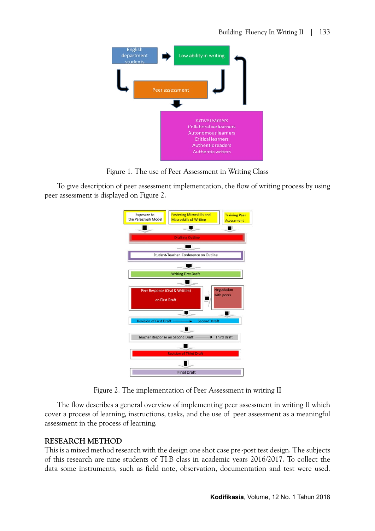

Figure 1. The use of Peer Assessment in Writing Class

To give description of peer assessment implementation, the flow of writing process by using peer assessment is displayed on Figure 2.



Figure 2. The implementation of Peer Assessment in writing II

The flow describes a general overview of implementing peer assessment in writing II which cover a process of learning, instructions, tasks, and the use of peer assessment as a meaningful assessment in the process of learning.

## **RESEARCH METHOD**

This is a mixed method research with the design one shot case pre-post test design. The subjects of this research are nine students of TI.B class in academic years 2016/2017. To collect the data some instruments, such as field note, observation, documentation and test were used.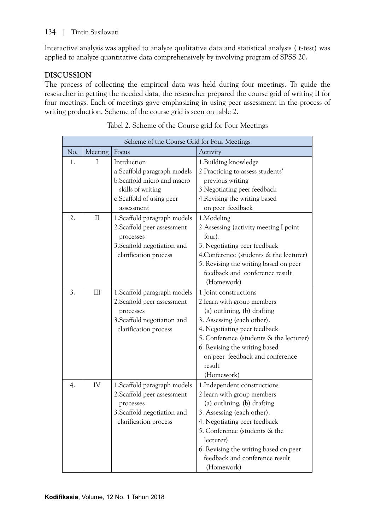Interactive analysis was applied to analyze qualitative data and statistical analysis ( t-test) was applied to analyze quantitative data comprehensively by involving program of SPSS 20.

# **DISCUSSION**

The process of collecting the empirical data was held during four meetings. To guide the researcher in getting the needed data, the researcher prepared the course grid of writing II for four meetings. Each of meetings gave emphasizing in using peer assessment in the process of writing production. Scheme of the course grid is seen on table 2.

| Scheme of the Course Grid for Four Meetings |          |                                                                                                                                  |                                                                                                                                                                                                                                                                                                 |  |  |  |  |
|---------------------------------------------|----------|----------------------------------------------------------------------------------------------------------------------------------|-------------------------------------------------------------------------------------------------------------------------------------------------------------------------------------------------------------------------------------------------------------------------------------------------|--|--|--|--|
| No.                                         | Meeting  | Focus                                                                                                                            | Activity                                                                                                                                                                                                                                                                                        |  |  |  |  |
| 1.                                          | I        | Intrduction<br>a.Scaffold paragraph models<br>b.Scaffold micro and macro                                                         | 1. Building knowledge<br>2. Practicing to assess students'<br>previous writing                                                                                                                                                                                                                  |  |  |  |  |
|                                             |          | skills of writing<br>c. Scaffold of using peer<br>assessment                                                                     | 3. Negotiating peer feedback<br>4. Revising the writing based<br>on peer feedback                                                                                                                                                                                                               |  |  |  |  |
| 2.                                          | $\rm II$ | 1. Scaffold paragraph models<br>2. Scaffold peer assessment<br>processes<br>3. Scaffold negotiation and<br>clarification process | 1.Modeling<br>2. Assessing (activity meeting I point<br>four).<br>3. Negotiating peer feedback<br>4. Conference (students & the lecturer)<br>5. Revising the writing based on peer<br>feedback and conference result<br>(Homework)                                                              |  |  |  |  |
| 3.                                          | III      | 1. Scaffold paragraph models<br>2. Scaffold peer assessment<br>processes<br>3. Scaffold negotiation and<br>clarification process | 1. Joint constructions<br>2. learn with group members<br>(a) outlining, (b) drafting<br>3. Assessing (each other).<br>4. Negotiating peer feedback<br>5. Conference (students & the lecturer)<br>6. Revising the writing based<br>on peer feedback and conference<br>result<br>(Homework)       |  |  |  |  |
| 4.                                          | IV       | 1. Scaffold paragraph models<br>2. Scaffold peer assessment<br>processes<br>3. Scaffold negotiation and<br>clarification process | 1. Independent constructions<br>2. learn with group members<br>(a) outlining, (b) drafting<br>3. Assessing (each other).<br>4. Negotiating peer feedback<br>5. Conference (students & the<br>lecturer)<br>6. Revising the writing based on peer<br>feedback and conference result<br>(Homework) |  |  |  |  |

Tabel 2. Scheme of the Course grid for Four Meetings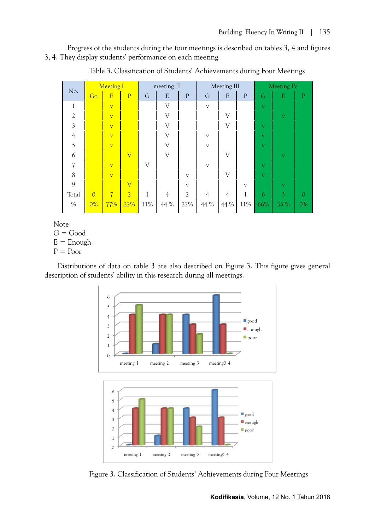Progress of the students during the four meetings is described on tables 3, 4 and figures 3, 4. They display students' performance on each meeting.

| No.                      | <b>Meeting I</b> |                         | meeting II              |              | Meeting III             |                |                         | Meeting IV     |              |                         |           |                |
|--------------------------|------------------|-------------------------|-------------------------|--------------|-------------------------|----------------|-------------------------|----------------|--------------|-------------------------|-----------|----------------|
|                          | Go               | $\overline{E}$          | $\overline{P}$          | $\mathcal G$ | E                       | $\mathbf P$    | $\mathcal G$            | E              | $\mathbf{P}$ | G                       | ${\bf E}$ | $\overline{P}$ |
| 1                        |                  | $\overline{\mathbf{V}}$ |                         |              | V                       |                | $\overline{\mathbf{V}}$ |                |              | $\overline{\mathbf{V}}$ |           |                |
| $\overline{2}$           |                  | $\overline{\mathbf{V}}$ |                         |              | V                       |                |                         | V              |              |                         | V         |                |
| $\mathfrak{Z}$           |                  | $\overline{\mathbf{V}}$ |                         |              | $\overline{\mathsf{V}}$ |                |                         | V              |              | $\overline{\mathbf{V}}$ |           |                |
| $\overline{4}$           |                  | $\overline{\mathbf{V}}$ |                         |              | V                       |                | $\mathbf{V}$            |                |              | $\mathbf{V}$            |           |                |
| 5                        |                  | $\overline{\mathbf{V}}$ |                         |              | V                       |                | $\mathbf{V}$            |                |              | $\overline{\mathbf{V}}$ |           |                |
| 6                        |                  |                         | $\overline{\mathsf{V}}$ |              | V                       |                |                         | V              |              |                         | V         |                |
| $\overline{\mathcal{U}}$ |                  | $\overline{\mathbf{V}}$ |                         | $\mathbf{V}$ |                         |                | $\mathbf{V}$            |                |              | $\overline{\mathbf{V}}$ |           |                |
| 8                        |                  | $\overline{\mathbf{V}}$ |                         |              |                         | $\mathbf{V}$   |                         | V              |              | $\overline{\mathbf{V}}$ |           |                |
| 9                        |                  |                         | $\overline{\mathsf{V}}$ |              |                         | $\mathbf{V}$   |                         |                | $\mathbf{V}$ |                         | V         |                |
| Total                    | $\overline{0}$   | $\overline{7}$          | $\overline{2}$          | $\mathbf{1}$ | $\overline{4}$          | $\overline{2}$ | $\overline{4}$          | $\overline{4}$ | 1            | 6                       | 3         | 0              |
| $\%$                     | $0\%$            | 77%                     | 22%                     | $11\%$       | 44 %                    | 22%            | 44 %                    | 44 %           | 11%          | 66%                     | 33 %      | $0\%$          |

Table 3. Classification of Students' Achievements during Four Meetings

Note:

 $G = Good$ 

 $E =$  Enough

 $P = Poor$ 

Distributions of data on table 3 are also described on Figure 3. This figure gives general description of students' ability in this research during all meetings.



Figure 3. Classification of Students' Achievements during Four Meetings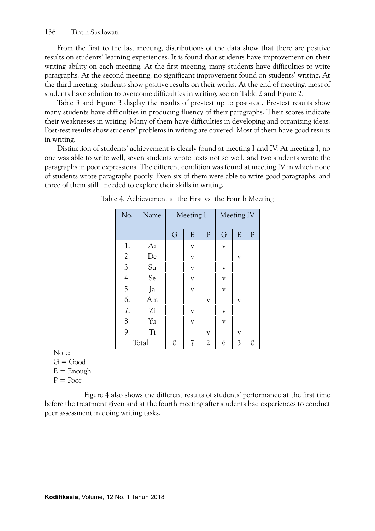### 136 | Tintin Susilowati

From the first to the last meeting, distributions of the data show that there are positive results on students' learning experiences. It is found that students have improvement on their writing ability on each meeting. At the first meeting, many students have difficulties to write paragraphs. At the second meeting, no significant improvement found on students' writing. At the third meeting, students show positive results on their works. At the end of meeting, most of students have solution to overcome difficulties in writing, see on Table 2 and Figure 2.

Table 3 and Figure 3 display the results of pre-test up to post-test. Pre-test results show many students have difficulties in producing fluency of their paragraphs. Their scores indicate their weaknesses in writing. Many of them have difficulties in developing and organizing ideas. Post-test results show students' problems in writing are covered. Most of them have good results in writing.

Distinction of students' achievement is clearly found at meeting I and IV. At meeting I, no one was able to write well, seven students wrote texts not so well, and two students wrote the paragraphs in poor expressions. The different condition was found at meeting IV in which none of students wrote paragraphs poorly. Even six of them were able to write good paragraphs, and three of them still needed to explore their skills in writing.

| No.              | Name | Meeting I |                         |                         | Meeting IV              |                         |             |  |
|------------------|------|-----------|-------------------------|-------------------------|-------------------------|-------------------------|-------------|--|
|                  |      | G         | ${\bf E}$               | $\mathbf{P}$            | G                       | E                       | $\mathbf P$ |  |
| 1.               | Az   |           | $\overline{\mathbf{V}}$ |                         | $\overline{\mathbf{V}}$ |                         |             |  |
| 2.               | De   |           | $\overline{\mathbf{V}}$ |                         |                         | V                       |             |  |
| $\overline{3}$ . | Su   |           | $\overline{\mathbf{V}}$ |                         | $\overline{\mathbf{V}}$ |                         |             |  |
| $\frac{4}{5}$ .  | Se   |           | $\overline{\mathbf{V}}$ |                         | $\overline{\mathbf{V}}$ |                         |             |  |
|                  | Ja   |           | $\overline{\mathbf{V}}$ |                         | $\overline{\mathbf{V}}$ |                         |             |  |
| 6.               | Am   |           |                         | $\overline{V}$          |                         | $\overline{V}$          |             |  |
| 7.               | Zi   |           | $\overline{\mathbf{V}}$ |                         | $\overline{\mathbf{V}}$ |                         |             |  |
| 8.               | Yu   |           | $\overline{\mathbf{V}}$ |                         | $\overline{\mathbf{V}}$ |                         |             |  |
| 9.               | Ti   |           |                         | $\overline{\mathbf{V}}$ |                         | $\overline{\mathbf{V}}$ |             |  |
| Total            |      | 0         |                         | $\overline{2}$          | 6                       | $\overline{3}$          |             |  |

| Table 4. Achievement at the First vs the Fourth Meeting |  |  |
|---------------------------------------------------------|--|--|
|                                                         |  |  |

Note:

 $G = Good$ 

 $E =$  Enough

 $P = Poor$ 

 Figure 4 also shows the different results of students' performance at the first time before the treatment given and at the fourth meeting after students had experiences to conduct peer assessment in doing writing tasks.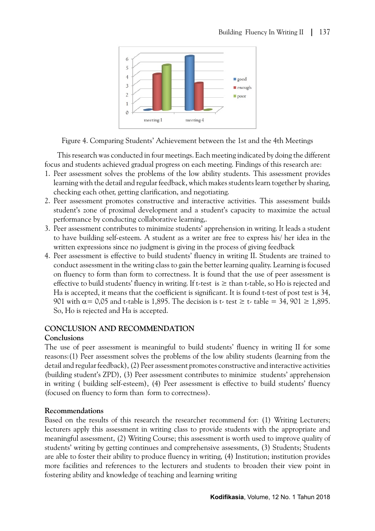

Figure 4. Comparing Students' Achievement between the 1st and the 4th Meetings

This research was conducted in four meetings. Each meeting indicated by doing the different focus and students achieved gradual progress on each meeting. Findings of this research are:

- 1. Peer assessment solves the problems of the low ability students. This assessment provides learning with the detail and regular feedback, which makes students learn together by sharing, checking each other, getting clarification, and negotiating.
- 2. Peer assessment promotes constructive and interactive activities. This assessment builds student's zone of proximal development and a student's capacity to maximize the actual performance by conducting collaborative learning,.
- 3. Peer assessment contributes to minimize students' apprehension in writing. It leads a student to have building self-esteem. A student as a writer are free to express his/ her idea in the written expressions since no judgment is giving in the process of giving feedback
- 4. Peer assessment is effective to build students' fluency in writing II. Students are trained to conduct assessment in the writing class to gain the better learning quality. Learning is focused on fluency to form than form to correctness. It is found that the use of peer assessment is effective to build students' fluency in writing. If t-test is  $\geq$  than t-table, so Ho is rejected and Ha is accepted, it means that the coefficient is significant. It is found t-test of post test is 34, 901 with  $\alpha$  = 0,05 and t-table is 1,895. The decision is t- test  $\geq$  t- table = 34, 901  $\geq$  1,895. So, Ho is rejected and Ha is accepted.

# **CONCLUSION AND RECOMMENDATION**

## **Conclusions**

The use of peer assessment is meaningful to build students' fluency in writing II for some reasons:(1) Peer assessment solves the problems of the low ability students (learning from the detail and regular feedback), (2) Peer assessment promotes constructive and interactive activities (building student's ZPD), (3) Peer assessment contributes to minimize students' apprehension in writing ( building self-esteem), (4) Peer assessment is effective to build students' fluency (focused on fluency to form than form to correctness).

## **Recommendations**

Based on the results of this research the researcher recommend for: (1) Writing Lecturers; lecturers apply this assessment in writing class to provide students with the appropriate and meaningful assessment, (2) Writing Course; this assessment is worth used to improve quality of students' writing by getting continues and comprehensive assessments, (3) Students; Students are able to foster their ability to produce fluency in writing, (4) Institution; institution provides more facilities and references to the lecturers and students to broaden their view point in fostering ability and knowledge of teaching and learning writing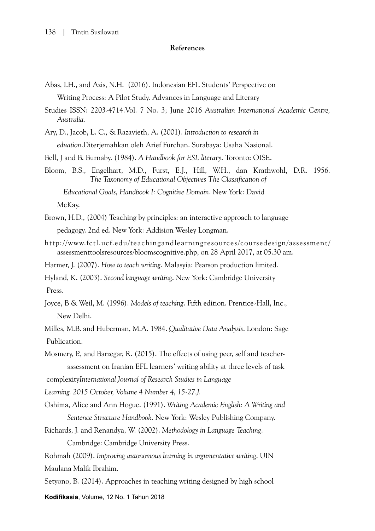### **References**

- Abas, I.H., and Azis, N.H. (2016). Indonesian EFL Students' Perspective on Writing Process: A Pilot Study. Advances in Language and Literary
- Studies ISSN: 2203-4714.Vol. 7 No. 3; June 2016 *Australian International Academic Centre, Australia.*

Ary, D., Jacob, L. C., & Razavieth, A. (2001). *Introduction to research in*

*eduation*.Diterjemahkan oleh Arief Furchan. Surabaya: Usaha Nasional.

Bell, J and B. Burnaby. (1984). *A Handbook for ESL literary*. Toronto: OISE.

Bloom, B.S., Engelhart, M.D., Furst, E.J., Hill, W.H., dan Krathwohl, D.R. 1956.  *The Taxonomy of Educational Objectives The Classification of* 

 *Educational Goals, Handbook I: Cognitive Domain*. New York: David McKay.

- Brown, H.D., (2004) Teaching by principles: an interactive approach to language pedagogy. 2nd ed. New York: Addision Wesley Longman.
- http://www.fctl.ucf.edu/teachingandlearningresources/coursedesign/assessment/ assessmenttoolsresources/bloomscognitive.php, on 28 April 2017, at 05.30 am.
- Harmer, J. (2007). *How to teach writing*. Malasyia: Pearson production limited.

Hyland, K. (2003). *Second language writing*. New York: Cambridge University Press.

Joyce, B & Weil, M. (1996). *Models of teaching*. Fifth edition. Prentice-Hall, Inc., New Delhi.

Milles, M.B. and Huberman, M.A. 1984. *Qualitative Data Analysis*. London: Sage Publication.

Mosmery, P., and Barzegar, R. (2015). The effects of using peer, self and teacher assessment on Iranian EFL learners' writing ability at three levels of task

complexity*International Journal of Research Studies in Language* 

*Learning. 2015 October, Volume 4 Number 4, 15-27.J.*

- Oshima, Alice and Ann Hogue. (1991). *Writing Academic English: A Writing and Sentence Structure Handbook*. New York: Wesley Publishing Company.
- Richards, J. and Renandya, W. (2002). *Methodology in Language Teaching*. Cambridge: Cambridge University Press.
- Rohmah (2009). *Improving autonomous learning in argumentative writing*. UIN Maulana Malik Ibrahim.
- Setyono, B. (2014). Approaches in teaching writing designed by high school

**Kodifikasia**, Volume, 12 No. 1 Tahun 2018